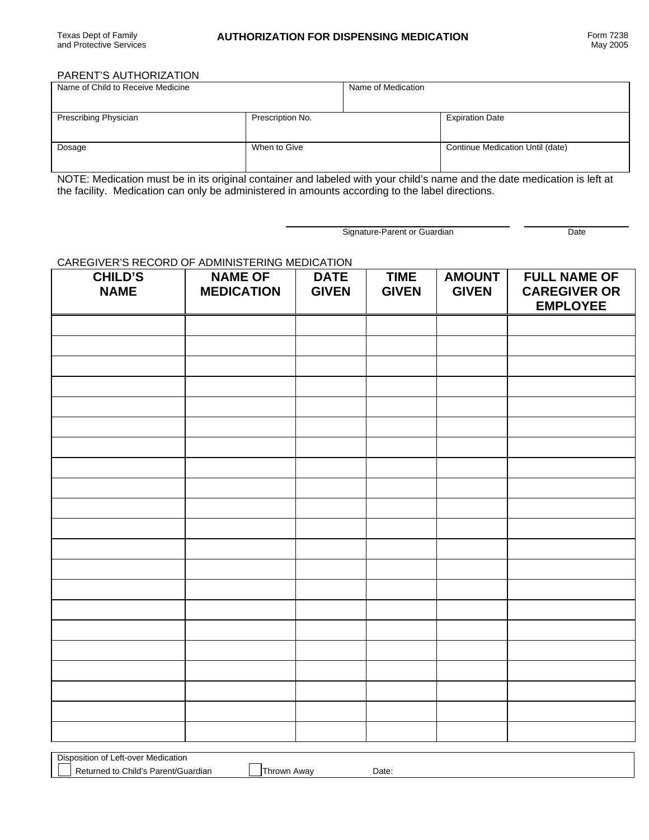## PARENT'S AUTHORIZATION

Disposition of Left-over Medication

Returned to Child's Parent/Guardian | Thrown Away Date:

| Name of Child to Receive Medicine |                  | Name of Medication |                                  |  |
|-----------------------------------|------------------|--------------------|----------------------------------|--|
| Prescribing Physician             | Prescription No. |                    | <b>Expiration Date</b>           |  |
| Dosage                            | When to Give     |                    | Continue Medication Until (date) |  |

NOTE: Medication must be in its original container and labeled with your child's name and the date medication is left at the facility. Medication can only be administered in amounts according to the label directions.

Signature-Parent or Guardian Date

## CAREGIVER'S RECORD OF ADMINISTERING MEDICATION

| <b>CHILD'S</b><br><b>NAME</b> | <b>NAME OF</b><br><b>MEDICATION</b> | <b>DATE</b><br><b>GIVEN</b> | <b>TIME</b><br><b>GIVEN</b> | <b>AMOUNT</b><br><b>GIVEN</b> | <b>FULL NAME OF</b><br><b>CAREGIVER OR</b><br><b>EMPLOYEE</b> |
|-------------------------------|-------------------------------------|-----------------------------|-----------------------------|-------------------------------|---------------------------------------------------------------|
|                               |                                     |                             |                             |                               |                                                               |
|                               |                                     |                             |                             |                               |                                                               |
|                               |                                     |                             |                             |                               |                                                               |
|                               |                                     |                             |                             |                               |                                                               |
|                               |                                     |                             |                             |                               |                                                               |
|                               |                                     |                             |                             |                               |                                                               |
|                               |                                     |                             |                             |                               |                                                               |
|                               |                                     |                             |                             |                               |                                                               |
|                               |                                     |                             |                             |                               |                                                               |
|                               |                                     |                             |                             |                               |                                                               |
|                               |                                     |                             |                             |                               |                                                               |
|                               |                                     |                             |                             |                               |                                                               |
|                               |                                     |                             |                             |                               |                                                               |
|                               |                                     |                             |                             |                               |                                                               |
|                               |                                     |                             |                             |                               |                                                               |
|                               |                                     |                             |                             |                               |                                                               |
|                               |                                     |                             |                             |                               |                                                               |
|                               |                                     |                             |                             |                               |                                                               |